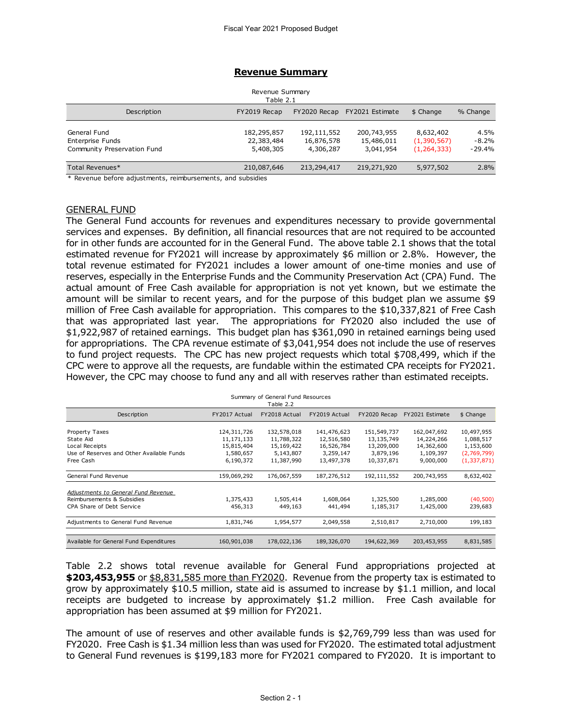#### **Revenue Summary**

| Revenue Summary<br>Table 2.1                                    |                                        |                                        |                                        |                                           |                             |  |  |  |  |  |
|-----------------------------------------------------------------|----------------------------------------|----------------------------------------|----------------------------------------|-------------------------------------------|-----------------------------|--|--|--|--|--|
| Description                                                     | FY2019 Recap                           | FY2020 Recap                           | FY2021 Estimate                        | \$ Change                                 | % Change                    |  |  |  |  |  |
| General Fund<br>Enterprise Funds<br>Community Preservation Fund | 182,295,857<br>22,383,484<br>5,408,305 | 192,111,552<br>16,876,578<br>4,306,287 | 200,743,955<br>15,486,011<br>3,041,954 | 8,632,402<br>(1,390,567)<br>(1, 264, 333) | 4.5%<br>$-8.2%$<br>$-29.4%$ |  |  |  |  |  |
| Total Revenues*                                                 | 210,087,646                            | 213,294,417                            | 219,271,920                            | 5,977,502                                 | 2.8%                        |  |  |  |  |  |
| * Revenue before adjustments, reimbursements, and subsidies     |                                        |                                        |                                        |                                           |                             |  |  |  |  |  |

\* Revenue before adjustments, reimbursements, and subsidies

## GENERAL FUND

The General Fund accounts for revenues and expenditures necessary to provide governmental services and expenses. By definition, all financial resources that are not required to be accounted for in other funds are accounted for in the General Fund. The above table 2.1 shows that the total estimated revenue for FY2021 will increase by approximately \$6 million or 2.8%. However, the total revenue estimated for FY2021 includes a lower amount of one-time monies and use of reserves, especially in the Enterprise Funds and the Community Preservation Act (CPA) Fund. The actual amount of Free Cash available for appropriation is not yet known, but we estimate the amount will be similar to recent years, and for the purpose of this budget plan we assume \$9 million of Free Cash available for appropriation. This compares to the \$10,337,821 of Free Cash that was appropriated last year. The appropriations for FY2020 also included the use of \$1,922,987 of retained earnings. This budget plan has \$361,090 in retained earnings being used for appropriations. The CPA revenue estimate of \$3,041,954 does not include the use of reserves to fund project requests. The CPC has new project requests which total \$708,499, which if the CPC were to approve all the requests, are fundable within the estimated CPA receipts for FY2021.

| 0. 0 mai 0 to approve an the requester are randasic mitmin the commuted on rincollipte for rincol<br>However, the CPC may choose to fund any and all with reserves rather than estimated receipts. |                                                      |                                                      |                                                      |                                                      |                                                      |                                      |  |  |  |  |
|----------------------------------------------------------------------------------------------------------------------------------------------------------------------------------------------------|------------------------------------------------------|------------------------------------------------------|------------------------------------------------------|------------------------------------------------------|------------------------------------------------------|--------------------------------------|--|--|--|--|
| Summary of General Fund Resources<br>Table 2.2                                                                                                                                                     |                                                      |                                                      |                                                      |                                                      |                                                      |                                      |  |  |  |  |
| Description                                                                                                                                                                                        | FY2017 Actual                                        | FY2018 Actual                                        | FY2019 Actual                                        | FY2020 Recap                                         | FY2021 Estimate                                      | \$ Change                            |  |  |  |  |
| Property Taxes<br>State Aid<br>Local Receipts<br>Use of Reserves and Other Available Funds                                                                                                         | 124,311,726<br>11,171,133<br>15,815,404<br>1,580,657 | 132,578,018<br>11,788,322<br>15,169,422<br>5,143,807 | 141,476,623<br>12,516,580<br>16,526,784<br>3,259,147 | 151,549,737<br>13,135,749<br>13,209,000<br>3,879,196 | 162,047,692<br>14,224,266<br>14,362,600<br>1,109,397 | 10,497,955<br>1,088,517<br>1,153,600 |  |  |  |  |
| Free Cash                                                                                                                                                                                          | 6,190,372                                            | 11,387,990                                           | 13,497,378                                           | 10,337,871                                           | 9,000,000                                            | (2,769,799)<br>(1, 337, 871)         |  |  |  |  |
| General Fund Revenue                                                                                                                                                                               | 159,069,292                                          | 176,067,559                                          | 187,276,512                                          | 192,111,552                                          | 200,743,955                                          | 8,632,402                            |  |  |  |  |
| Adjustments to General Fund Revenue<br>Reimbursements & Subsidies<br>CPA Share of Debt Service                                                                                                     | 1,375,433<br>456,313                                 | 1,505,414<br>449,163                                 | 1,608,064<br>441,494                                 | 1,325,500<br>1,185,317                               | 1,285,000<br>1,425,000                               | (40, 500)<br>239,683                 |  |  |  |  |
| Adjustments to General Fund Revenue                                                                                                                                                                | 1,831,746                                            | 1,954,577                                            | 2,049,558                                            | 2,510,817                                            | 2,710,000                                            | 199,183                              |  |  |  |  |
| Available for General Fund Expenditures                                                                                                                                                            | 160,901,038                                          | 178,022,136                                          | 189,326,070                                          | 194,622,369                                          | 203,453,955                                          | 8,831,585                            |  |  |  |  |

Table 2.2 shows total revenue available for General Fund appropriations projected at \$203,453,955 or \$8,831,585 more than FY2020. Revenue from the property tax is estimated to grow by approximately \$10.5 million, state aid is assumed to increase by \$1.1 million, and local receipts are budgeted to increase by approximately \$1.2 million. Free Cash available for appropriation has been assumed at \$9 million for FY2021.

The amount of use of reserves and other available funds is \$2,769,799 less than was used for FY2020. Free Cash is \$1.34 million less than was used for FY2020. The estimated total adjustment to General Fund revenues is \$199,183 more for FY2021 compared to FY2020. It is important to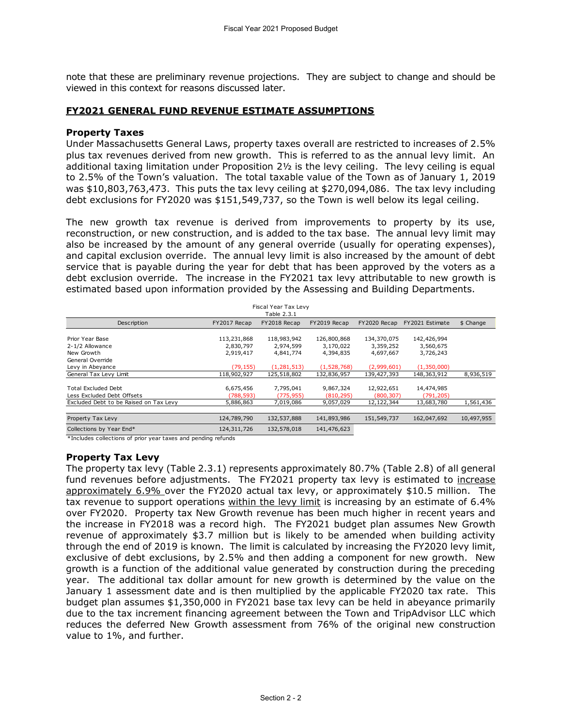note that these are preliminary revenue projections. They are subject to change and should be viewed in this context for reasons discussed later.

## **FY2021 GENERAL FUND REVENUE ESTIMATE ASSUMPTIONS**

## **Property Taxes**

Under Massachusetts General Laws, property taxes overall are restricted to increases of 2.5% plus tax revenues derived from new growth. This is referred to as the annual levy limit. An additional taxing limitation under Proposition 2½ is the levy ceiling. The levy ceiling is equal to 2.5% of the Town's valuation. The total taxable value of the Town as of January 1, 2019 was \$10,803,763,473. This puts the tax levy ceiling at \$270,094,086. The tax levy including debt exclusions for FY2020 was \$151,549,737, so the Town is well below its legal ceiling.

The new growth tax revenue is derived from improvements to property by its use, reconstruction, or new construction, and is added to the tax base. The annual levy limit may also be increased by the amount of any general override (usually for operating expenses), and capital exclusion override. The annual levy limit is also increased by the amount of debt service that is payable during the year for debt that has been approved by the voters as a debt exclusion override. The increase in the FY2021 tax levy attributable to new growth is estimated based upon information provided by the Assessing and Building Departments.

| debt exclusion override. The increase in the FYZUZI tax levy attributable to new growth is<br>estimated based upon information provided by the Assessing and Building Departments. |                         |                                     |                         |                         |                          |            |
|------------------------------------------------------------------------------------------------------------------------------------------------------------------------------------|-------------------------|-------------------------------------|-------------------------|-------------------------|--------------------------|------------|
|                                                                                                                                                                                    |                         | Fiscal Year Tax Levy<br>Table 2.3.1 |                         |                         |                          |            |
| Description                                                                                                                                                                        | FY2017 Recap            | FY2018 Recap                        | FY2019 Recap            | FY2020 Recap            | FY2021 Estimate          | \$ Change  |
| Prior Year Base                                                                                                                                                                    | 113,231,868             | 118,983,942                         | 126,800,868             | 134,370,075             | 142,426,994              |            |
| 2-1/2 Allowance<br>New Growth<br>General Override                                                                                                                                  | 2,830,797<br>2,919,417  | 2,974,599<br>4,841,774              | 3,170,022<br>4,394,835  | 3,359,252<br>4,697,667  | 3,560,675<br>3,726,243   |            |
| Levy in Abeyance                                                                                                                                                                   | (79, 155)               | (1, 281, 513)                       | (1,528,768)             | (2,999,601)             | (1,350,000)              |            |
| General Tax Levy Limit                                                                                                                                                             | 118,902,927             | 125,518,802                         | 132,836,957             | 139,427,393             | 148,363,912              | 8,936,519  |
| <b>Total Excluded Debt</b><br>Less Excluded Debt Offsets                                                                                                                           | 6,675,456<br>(788, 593) | 7,795,041<br>(775,955)              | 9,867,324<br>(810, 295) | 12,922,651<br>(800,307) | 14,474,985<br>(791, 205) |            |
| Excluded Debt to be Raised on Tax Levy                                                                                                                                             | 5,886,863               | 7,019,086                           | 9,057,029               | 12,122,344              | 13,683,780               | 1,561,436  |
| Property Tax Levy                                                                                                                                                                  | 124,789,790             | 132,537,888                         | 141,893,986             | 151,549,737             | 162,047,692              | 10,497,955 |
| Collections by Year End*                                                                                                                                                           | 124,311,726             | 132,578,018                         | 141,476,623             |                         |                          |            |
| *Includes collections of prior year taxes and pending refunds                                                                                                                      |                         |                                     |                         |                         |                          |            |

\*Includes collections of prior year taxes and pending refunds

## **Property Tax Levy**

The property tax levy (Table 2.3.1) represents approximately 80.7% (Table 2.8) of all general fund revenues before adjustments. The FY2021 property tax levy is estimated to increase approximately 6.9% over the FY2020 actual tax levy, or approximately \$10.5 million. The tax revenue to support operations within the levy limit is increasing by an estimate of 6.4% over FY2020. Property tax New Growth revenue has been much higher in recent years and the increase in FY2018 was a record high. The FY2021 budget plan assumes New Growth revenue of approximately \$3.7 million but is likely to be amended when building activity through the end of 2019 is known. The limit is calculated by increasing the FY2020 levy limit, exclusive of debt exclusions, by 2.5% and then adding a component for new growth. New growth is a function of the additional value generated by construction during the preceding year. The additional tax dollar amount for new growth is determined by the value on the January 1 assessment date and is then multiplied by the applicable FY2020 tax rate. This budget plan assumes \$1,350,000 in FY2021 base tax levy can be held in abeyance primarily due to the tax increment financing agreement between the Town and TripAdvisor LLC which reduces the deferred New Growth assessment from 76% of the original new construction value to 1%, and further.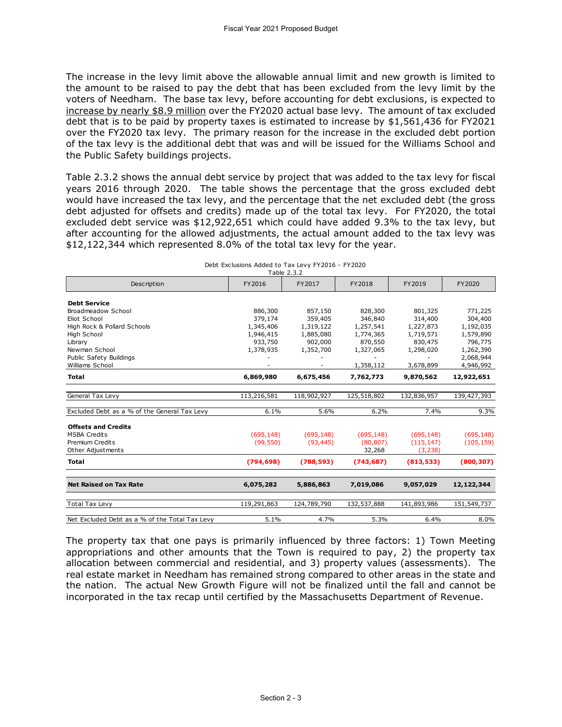The increase in the levy limit above the allowable annual limit and new growth is limited to the amount to be raised to pay the debt that has been excluded from the levy limit by the voters of Needham. The base tax levy, before accounting for debt exclusions, is expected to increase by nearly \$8.9 million over the FY2020 actual base levy. The amount of tax excluded debt that is to be paid by property taxes is estimated to increase by \$1,561,436 for FY2021 over the FY2020 tax levy. The primary reason for the increase in the excluded debt portion of the tax levy is the additional debt that was and will be issued for the Williams School and the Public Safety buildings projects.

Table 2.3.2 shows the annual debt service by project that was added to the tax levy for fiscal years 2016 through 2020. The table shows the percentage that the gross excluded debt would have increased the tax levy, and the percentage that the net excluded debt (the gross debt adjusted for offsets and credits) made up of the total tax levy. For FY2020, the total excluded debt service was \$12,922,651 which could have added 9.3% to the tax levy, but after accounting for the allowed adjustments, the actual amount added to the tax levy was \$12,122,344 which represented 8.0% of the total tax levy for the year.

|                                                | Table 2.3.2 |             |             |             |             |
|------------------------------------------------|-------------|-------------|-------------|-------------|-------------|
| Description                                    | FY2016      | FY2017      | FY2018      | FY2019      | FY2020      |
| <b>Debt Service</b>                            |             |             |             |             |             |
| Broadmeadow School                             | 886,300     | 857,150     | 828,300     | 801,325     | 771,225     |
| Eliot School                                   | 379,174     | 359,405     | 346,840     | 314,400     | 304,400     |
| High Rock & Pollard Schools                    | 1,345,406   | 1,319,122   | 1,257,541   | 1,227,873   | 1,192,035   |
| High School                                    | 1,946,415   | 1,885,080   | 1,774,365   | 1,719,571   | 1,579,890   |
| Library                                        | 933,750     | 902,000     | 870,550     | 830,475     | 796,775     |
| Newman School                                  | 1,378,935   | 1,352,700   | 1,327,065   | 1,298,020   | 1,262,390   |
| Public Safety Buildings                        |             |             |             |             | 2,068,944   |
| Williams School                                |             |             | 1,358,112   | 3,678,899   | 4,946,992   |
| <b>Total</b>                                   | 6,869,980   | 6,675,456   | 7,762,773   | 9,870,562   | 12,922,651  |
| General Tax Levy                               | 113,216,581 | 118,902,927 | 125,518,802 | 132,836,957 | 139,427,393 |
| Excluded Debt as a % of the General Tax Levy   | 6.1%        | 5.6%        | 6.2%        | 7.4%        | 9.3%        |
|                                                |             |             |             |             |             |
| <b>Offsets and Credits</b>                     |             |             |             |             |             |
| <b>MSBA Credits</b>                            | (695, 148)  | (695, 148)  | (695, 148)  | (695, 148)  | (695, 148)  |
| <b>Premium Credits</b>                         | (99, 550)   | (93, 445)   | (80, 807)   | (115, 147)  | (105, 159)  |
| Other Adjustments                              |             |             | 32,268      | (3, 238)    |             |
| <b>Total</b>                                   | (794, 698)  | (788, 593)  | (743, 687)  | (813, 533)  | (800, 307)  |
| <b>Net Raised on Tax Rate</b>                  | 6,075,282   | 5,886,863   | 7,019,086   | 9,057,029   | 12,122,344  |
|                                                |             |             |             |             |             |
| <b>Total Tax Levy</b>                          | 119,291,863 | 124,789,790 | 132,537,888 | 141,893,986 | 151,549,737 |
| Net Excluded Debt as a % of the Total Tax Levy | 5.1%        | 4.7%        | 5.3%        | 6.4%        | 8.0%        |

Debt Exclusions Added to Tax Levy FY2016 - FY2020

The property tax that one pays is primarily influenced by three factors: 1) Town Meeting appropriations and other amounts that the Town is required to pay, 2) the property tax allocation between commercial and residential, and 3) property values (assessments). The real estate market in Needham has remained strong compared to other areas in the state and the nation. The actual New Growth Figure will not be finalized until the fall and cannot be incorporated in the tax recap until certified by the Massachusetts Department of Revenue.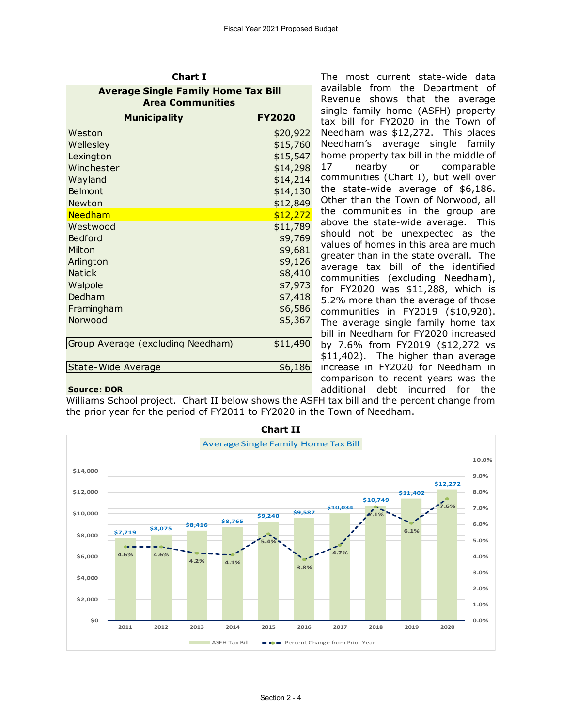| unart 1                                                               |          |  |  |  |  |  |  |  |
|-----------------------------------------------------------------------|----------|--|--|--|--|--|--|--|
| <b>Average Single Family Home Tax Bill</b><br><b>Area Communities</b> |          |  |  |  |  |  |  |  |
| <b>Municipality</b><br><b>FY2020</b>                                  |          |  |  |  |  |  |  |  |
| Weston                                                                | \$20,922 |  |  |  |  |  |  |  |
| Wellesley                                                             | \$15,760 |  |  |  |  |  |  |  |
| Lexington                                                             | \$15,547 |  |  |  |  |  |  |  |
| Winchester                                                            | \$14,298 |  |  |  |  |  |  |  |
| Wayland                                                               | \$14,214 |  |  |  |  |  |  |  |
| Belmont                                                               | \$14,130 |  |  |  |  |  |  |  |
| Newton                                                                | \$12,849 |  |  |  |  |  |  |  |
| <b>Needham</b>                                                        | \$12,272 |  |  |  |  |  |  |  |
| Westwood                                                              | \$11,789 |  |  |  |  |  |  |  |
| Bedford                                                               | \$9,769  |  |  |  |  |  |  |  |
| Milton                                                                | \$9,681  |  |  |  |  |  |  |  |
| Arlington                                                             | \$9,126  |  |  |  |  |  |  |  |
| <b>Natick</b>                                                         | \$8,410  |  |  |  |  |  |  |  |
| Walpole                                                               | \$7,973  |  |  |  |  |  |  |  |
| Dedham                                                                | \$7,418  |  |  |  |  |  |  |  |
| Framingham                                                            | \$6,586  |  |  |  |  |  |  |  |
| Norwood                                                               | \$5,367  |  |  |  |  |  |  |  |
|                                                                       |          |  |  |  |  |  |  |  |
| Group Average (excluding Needham)                                     | \$11,490 |  |  |  |  |  |  |  |
| State-Wide Average                                                    | \$6,186  |  |  |  |  |  |  |  |
|                                                                       |          |  |  |  |  |  |  |  |

**Chart I**

The most current state-wide data available from the Department of Revenue shows that the average single family home (ASFH) property tax bill for FY2020 in the Town of Needham was \$12,272. This places Needham's average single family home property tax bill in the middle of 17 nearby or comparable communities (Chart I), but well over the state-wide average of \$6,186. Other than the Town of Norwood, all the communities in the group are above the state-wide average. This should not be unexpected as the values of homes in this area are much greater than in the state overall. The average tax bill of the identified communities (excluding Needham), for FY2020 was \$11,288, which is 5.2% more than the average of those communities in FY2019 (\$10,920). The average single family home tax bill in Needham for FY2020 increased by 7.6% from FY2019 (\$12,272 vs \$11,402). The higher than average increase in FY2020 for Needham in comparison to recent years was the additional debt incurred for the

## **Source: DOR**

Williams School project. Chart II below shows the ASFH tax bill and the percent change from the prior year for the period of FY2011 to FY2020 in the Town of Needham.

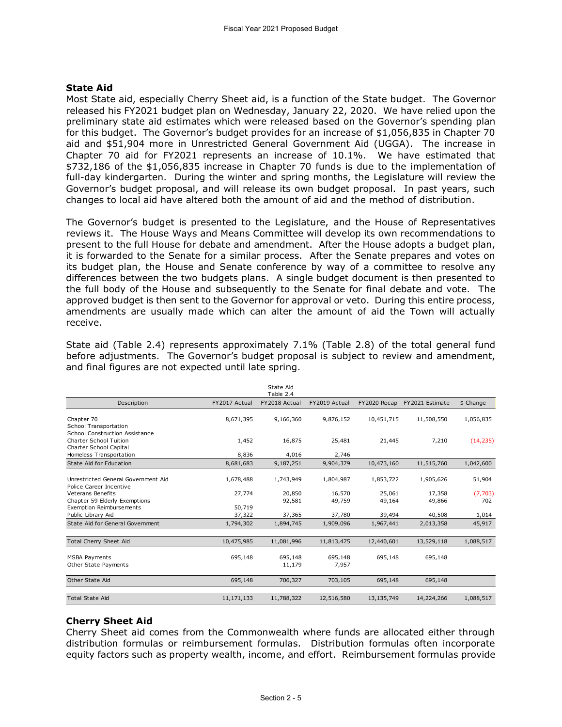## **State Aid**

Most State aid, especially Cherry Sheet aid, is a function of the State budget. The Governor released his FY2021 budget plan on Wednesday, January 22, 2020. We have relied upon the preliminary state aid estimates which were released based on the Governor's spending plan for this budget. The Governor's budget provides for an increase of \$1,056,835 in Chapter 70 aid and \$51,904 more in Unrestricted General Government Aid (UGGA). The increase in Chapter 70 aid for FY2021 represents an increase of 10.1%. We have estimated that \$732,186 of the \$1,056,835 increase in Chapter 70 funds is due to the implementation of full-day kindergarten. During the winter and spring months, the Legislature will review the Governor's budget proposal, and will release its own budget proposal. In past years, such changes to local aid have altered both the amount of aid and the method of distribution.

The Governor's budget is presented to the Legislature, and the House of Representatives reviews it. The House Ways and Means Committee will develop its own recommendations to present to the full House for debate and amendment. After the House adopts a budget plan, it is forwarded to the Senate for a similar process. After the Senate prepares and votes on its budget plan, the House and Senate conference by way of a committee to resolve any differences between the two budgets plans. A single budget document is then presented to the full body of the House and subsequently to the Senate for final debate and vote. The approved budget is then sent to the Governor for approval or veto. During this entire process, amendments are usually made which can alter the amount of aid the Town will actually receive.

| before aujustments. The Governor's budget proposar is subject to review and amendment,<br>and final figures are not expected until late spring. |                  |                        |                  |                  |                              |                |
|-------------------------------------------------------------------------------------------------------------------------------------------------|------------------|------------------------|------------------|------------------|------------------------------|----------------|
|                                                                                                                                                 |                  | State Aid<br>Table 2.4 |                  |                  |                              |                |
| Description                                                                                                                                     | FY2017 Actual    | FY2018 Actual          | FY2019 Actual    |                  | FY2020 Recap FY2021 Estimate | \$ Change      |
| Chapter 70<br><b>School Transportation</b><br>School Construction Assistance                                                                    | 8,671,395        | 9,166,360              | 9,876,152        | 10,451,715       | 11,508,550                   | 1,056,835      |
| Charter School Tuition<br>Charter School Capital                                                                                                | 1,452            | 16,875                 | 25,481           | 21,445           | 7,210                        | (14, 235)      |
| Homeless Transportation                                                                                                                         | 8,836            | 4,016                  | 2,746            |                  |                              |                |
| State Aid for Education                                                                                                                         | 8,681,683        | 9,187,251              | 9,904,379        | 10,473,160       | 11,515,760                   | 1,042,600      |
| Unrestricted General Government Aid<br>Police Career Incentive                                                                                  | 1,678,488        | 1,743,949              | 1,804,987        | 1,853,722        | 1,905,626                    | 51,904         |
| <b>Veterans Benefits</b><br>Chapter 59 Elderly Exemptions                                                                                       | 27,774           | 20,850<br>92,581       | 16,570<br>49,759 | 25,061<br>49,164 | 17,358<br>49,866             | (7,703)<br>702 |
| <b>Exemption Reimbursements</b><br>Public Library Aid                                                                                           | 50,719<br>37,322 | 37,365                 | 37,780           | 39,494           | 40,508                       | 1,014          |
| State Aid for General Government                                                                                                                | 1,794,302        | 1,894,745              | 1,909,096        | 1,967,441        | 2,013,358                    | 45,917         |
| <b>Total Cherry Sheet Aid</b>                                                                                                                   | 10,475,985       | 11,081,996             | 11,813,475       | 12,440,601       | 13,529,118                   | 1,088,517      |
| <b>MSBA Payments</b><br>Other State Payments                                                                                                    | 695,148          | 695,148<br>11,179      | 695,148<br>7,957 | 695,148          | 695,148                      |                |
| Other State Aid                                                                                                                                 | 695,148          | 706,327                | 703,105          | 695,148          | 695,148                      |                |
| <b>Total State Aid</b>                                                                                                                          | 11,171,133       | 11,788,322             | 12,516,580       | 13,135,749       | 14,224,266                   | 1,088,517      |

State aid (Table 2.4) represents approximately 7.1% (Table 2.8) of the total general fund before adjustments. The Governor's budget proposal is subject to review and amendment, and final figures are not expected until late spring.

## **Cherry Sheet Aid**

Cherry Sheet aid comes from the Commonwealth where funds are allocated either through distribution formulas or reimbursement formulas. Distribution formulas often incorporate equity factors such as property wealth, income, and effort. Reimbursement formulas provide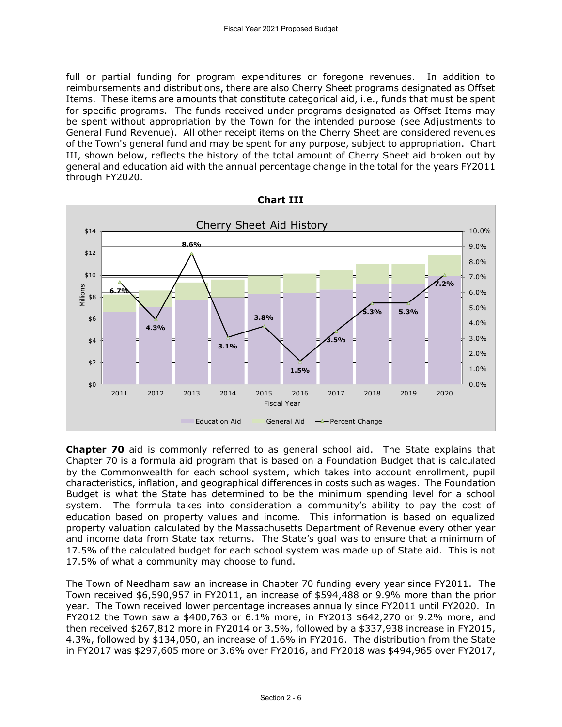full or partial funding for program expenditures or foregone revenues. In addition to reimbursements and distributions, there are also Cherry Sheet programs designated as Offset Items. These items are amounts that constitute categorical aid, i.e., funds that must be spent for specific programs. The funds received under programs designated as Offset Items may be spent without appropriation by the Town for the intended purpose (see Adjustments to General Fund Revenue). All other receipt items on the Cherry Sheet are considered revenues of the Town's general fund and may be spent for any purpose, subject to appropriation. Chart III, shown below, reflects the history of the total amount of Cherry Sheet aid broken out by general and education aid with the annual percentage change in the total for the years FY2011 through FY2020.



**Chapter 70** aid is commonly referred to as general school aid. The State explains that Chapter 70 is a formula aid program that is based on a Foundation Budget that is calculated by the Commonwealth for each school system, which takes into account enrollment, pupil characteristics, inflation, and geographical differences in costs such as wages. The Foundation Budget is what the State has determined to be the minimum spending level for a school system. The formula takes into consideration a community's ability to pay the cost of education based on property values and income. This information is based on equalized property valuation calculated by the Massachusetts Department of Revenue every other year and income data from State tax returns. The State's goal was to ensure that a minimum of 17.5% of the calculated budget for each school system was made up of State aid. This is not 17.5% of what a community may choose to fund.

The Town of Needham saw an increase in Chapter 70 funding every year since FY2011. The Town received \$6,590,957 in FY2011, an increase of \$594,488 or 9.9% more than the prior year. The Town received lower percentage increases annually since FY2011 until FY2020. In FY2012 the Town saw a \$400,763 or 6.1% more, in FY2013 \$642,270 or 9.2% more, and then received \$267,812 more in FY2014 or 3.5%, followed by a \$337,938 increase in FY2015, 4.3%, followed by \$134,050, an increase of 1.6% in FY2016. The distribution from the State in FY2017 was \$297,605 more or 3.6% over FY2016, and FY2018 was \$494,965 over FY2017,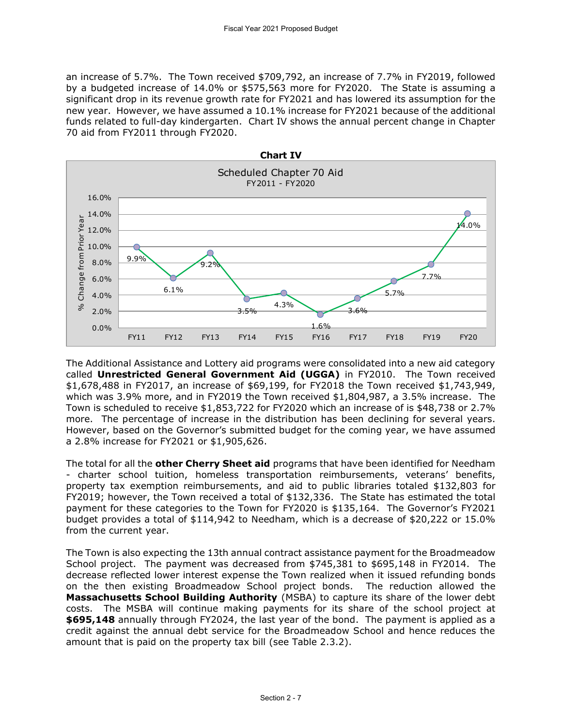an increase of 5.7%. The Town received \$709,792, an increase of 7.7% in FY2019, followed by a budgeted increase of 14.0% or \$575,563 more for FY2020. The State is assuming a significant drop in its revenue growth rate for FY2021 and has lowered its assumption for the new year. However, we have assumed a 10.1% increase for FY2021 because of the additional funds related to full-day kindergarten. Chart IV shows the annual percent change in Chapter 70 aid from FY2011 through FY2020.



The Additional Assistance and Lottery aid programs were consolidated into a new aid category called **Unrestricted General Government Aid (UGGA)** in FY2010. The Town received \$1,678,488 in FY2017, an increase of \$69,199, for FY2018 the Town received \$1,743,949, which was 3.9% more, and in FY2019 the Town received \$1,804,987, a 3.5% increase. The Town is scheduled to receive \$1,853,722 for FY2020 which an increase of is \$48,738 or 2.7% more. The percentage of increase in the distribution has been declining for several years. However, based on the Governor's submitted budget for the coming year, we have assumed a 2.8% increase for FY2021 or \$1,905,626.

The total for all the **other Cherry Sheet aid** programs that have been identified for Needham - charter school tuition, homeless transportation reimbursements, veterans' benefits, property tax exemption reimbursements, and aid to public libraries totaled \$132,803 for FY2019; however, the Town received a total of \$132,336. The State has estimated the total payment for these categories to the Town for FY2020 is \$135,164. The Governor's FY2021 budget provides a total of \$114,942 to Needham, which is a decrease of \$20,222 or 15.0% from the current year.

The Town is also expecting the 13th annual contract assistance payment for the Broadmeadow School project. The payment was decreased from \$745,381 to \$695,148 in FY2014. The decrease reflected lower interest expense the Town realized when it issued refunding bonds on the then existing Broadmeadow School project bonds. The reduction allowed the **Massachusetts School Building Authority** (MSBA) to capture its share of the lower debt costs. The MSBA will continue making payments for its share of the school project at **\$695,148** annually through FY2024, the last year of the bond. The payment is applied as a credit against the annual debt service for the Broadmeadow School and hence reduces the amount that is paid on the property tax bill (see Table 2.3.2).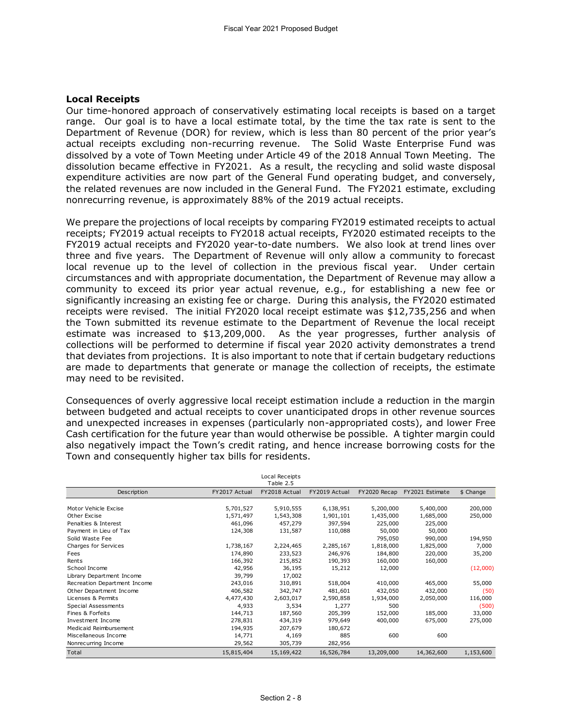## **Local Receipts**

Our time-honored approach of conservatively estimating local receipts is based on a target range. Our goal is to have a local estimate total, by the time the tax rate is sent to the Department of Revenue (DOR) for review, which is less than 80 percent of the prior year's actual receipts excluding non-recurring revenue. The Solid Waste Enterprise Fund was dissolved by a vote of Town Meeting under Article 49 of the 2018 Annual Town Meeting. The dissolution became effective in FY2021. As a result, the recycling and solid waste disposal expenditure activities are now part of the General Fund operating budget, and conversely, the related revenues are now included in the General Fund. The FY2021 estimate, excluding nonrecurring revenue, is approximately 88% of the 2019 actual receipts.

We prepare the projections of local receipts by comparing FY2019 estimated receipts to actual receipts; FY2019 actual receipts to FY2018 actual receipts, FY2020 estimated receipts to the FY2019 actual receipts and FY2020 year-to-date numbers. We also look at trend lines over three and five years. The Department of Revenue will only allow a community to forecast local revenue up to the level of collection in the previous fiscal year. Under certain circumstances and with appropriate documentation, the Department of Revenue may allow a community to exceed its prior year actual revenue, e.g., for establishing a new fee or significantly increasing an existing fee or charge. During this analysis, the FY2020 estimated receipts were revised. The initial FY2020 local receipt estimate was \$12,735,256 and when the Town submitted its revenue estimate to the Department of Revenue the local receipt estimate was increased to \$13,209,000. As the year progresses, further analysis of collections will be performed to determine if fiscal year 2020 activity demonstrates a trend that deviates from projections. It is also important to note that if certain budgetary reductions are made to departments that generate or manage the collection of receipts, the estimate may need to be revisited.

Consequences of overly aggressive local receipt estimation include a reduction in the margin between budgeted and actual receipts to cover unanticipated drops in other revenue sources and unexpected increases in expenses (particularly non-appropriated costs), and lower Free Cash certification for the future year than would otherwise be possible. A tighter margin could also negatively impact the Town's credit rating, and hence increase borrowing costs for the Town and consequently higher tax bills for residents.

|                              |               | Local Receipts<br>Table 2.5 |               |              |                 |           |
|------------------------------|---------------|-----------------------------|---------------|--------------|-----------------|-----------|
| Description                  | FY2017 Actual | FY2018 Actual               | FY2019 Actual | FY2020 Recap | FY2021 Estimate | \$ Change |
| Motor Vehicle Excise         | 5,701,527     | 5,910,555                   | 6,138,951     | 5,200,000    | 5,400,000       | 200,000   |
| Other Excise                 | 1,571,497     | 1,543,308                   | 1,901,101     | 1,435,000    | 1,685,000       | 250,000   |
| Penalties & Interest         | 461,096       | 457,279                     | 397,594       | 225,000      | 225,000         |           |
| Payment in Lieu of Tax       | 124,308       | 131,587                     | 110,088       | 50,000       | 50,000          |           |
| Solid Waste Fee              |               |                             |               | 795,050      | 990,000         | 194,950   |
| Charges for Services         | 1,738,167     | 2,224,465                   | 2,285,167     | 1,818,000    | 1,825,000       | 7,000     |
| Fees                         | 174,890       | 233,523                     | 246,976       | 184,800      | 220,000         | 35,200    |
| Rents                        | 166,392       | 215,852                     | 190,393       | 160,000      | 160,000         |           |
| School Income                | 42,956        | 36,195                      | 15,212        | 12,000       |                 | (12,000)  |
| Library Department Income    | 39,799        | 17,002                      |               |              |                 |           |
| Recreation Department Income | 243,016       | 310,891                     | 518,004       | 410,000      | 465,000         | 55,000    |
| Other Department Income      | 406,582       | 342,747                     | 481,601       | 432,050      | 432,000         | (50)      |
| Licenses & Permits           | 4,477,430     | 2,603,017                   | 2,590,858     | 1,934,000    | 2,050,000       | 116,000   |
| Special Assessments          | 4,933         | 3,534                       | 1,277         | 500          |                 | (500)     |
| Fines & Forfeits             | 144,713       | 187,560                     | 205,399       | 152,000      | 185,000         | 33,000    |
| Investment Income            | 278,831       | 434,319                     | 979,649       | 400,000      | 675,000         | 275,000   |
| Medicaid Reimbursement       | 194,935       | 207,679                     | 180,672       |              |                 |           |
| Miscellaneous Income         | 14,771        | 4,169                       | 885           | 600          | 600             |           |
| Nonrecurring Income          | 29,562        | 305,739                     | 282,956       |              |                 |           |
| Total                        | 15,815,404    | 15,169,422                  | 16,526,784    | 13,209,000   | 14,362,600      | 1,153,600 |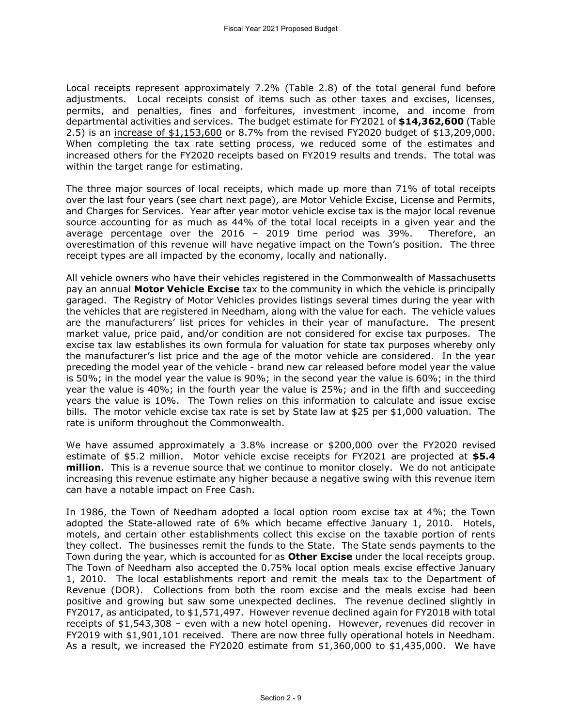Local receipts represent approximately 7.2% (Table 2.8) of the total general fund before adjustments. Local receipts consist of items such as other taxes and excises, licenses, permits, and penalties, fines and forfeitures, investment income, and income from departmental activities and services. The budget estimate for FY2021 of **\$14,362,600** (Table 2.5) is an increase of \$1,153,600 or 8.7% from the revised FY2020 budget of \$13,209,000. When completing the tax rate setting process, we reduced some of the estimates and increased others for the FY2020 receipts based on FY2019 results and trends. The total was within the target range for estimating.

The three major sources of local receipts, which made up more than 71% of total receipts over the last four years (see chart next page), are Motor Vehicle Excise, License and Permits, and Charges for Services. Year after year motor vehicle excise tax is the major local revenue source accounting for as much as 44% of the total local receipts in a given year and the average percentage over the 2016 – 2019 time period was 39%. Therefore, an overestimation of this revenue will have negative impact on the Town's position. The three receipt types are all impacted by the economy, locally and nationally.

All vehicle owners who have their vehicles registered in the Commonwealth of Massachusetts pay an annual **Motor Vehicle Excise** tax to the community in which the vehicle is principally garaged. The Registry of Motor Vehicles provides listings several times during the year with the vehicles that are registered in Needham, along with the value for each. The vehicle values are the manufacturers' list prices for vehicles in their year of manufacture. The present market value, price paid, and/or condition are not considered for excise tax purposes. The excise tax law establishes its own formula for valuation for state tax purposes whereby only the manufacturer's list price and the age of the motor vehicle are considered. In the year preceding the model year of the vehicle - brand new car released before model year the value is 50%; in the model year the value is 90%; in the second year the value is 60%; in the third year the value is 40%; in the fourth year the value is 25%; and in the fifth and succeeding years the value is 10%. The Town relies on this information to calculate and issue excise bills. The motor vehicle excise tax rate is set by State law at \$25 per \$1,000 valuation. The rate is uniform throughout the Commonwealth.

We have assumed approximately a 3.8% increase or \$200,000 over the FY2020 revised estimate of \$5.2 million. Motor vehicle excise receipts for FY2021 are projected at **\$5.4 million**. This is a revenue source that we continue to monitor closely. We do not anticipate increasing this revenue estimate any higher because a negative swing with this revenue item can have a notable impact on Free Cash.

In 1986, the Town of Needham adopted a local option room excise tax at 4%; the Town adopted the State-allowed rate of 6% which became effective January 1, 2010. Hotels, motels, and certain other establishments collect this excise on the taxable portion of rents they collect. The businesses remit the funds to the State. The State sends payments to the Town during the year, which is accounted for as **Other Excise** under the local receipts group. The Town of Needham also accepted the 0.75% local option meals excise effective January 1, 2010. The local establishments report and remit the meals tax to the Department of Revenue (DOR). Collections from both the room excise and the meals excise had been positive and growing but saw some unexpected declines. The revenue declined slightly in FY2017, as anticipated, to \$1,571,497. However revenue declined again for FY2018 with total receipts of \$1,543,308 – even with a new hotel opening. However, revenues did recover in FY2019 with \$1,901,101 received. There are now three fully operational hotels in Needham. As a result, we increased the FY2020 estimate from \$1,360,000 to \$1,435,000. We have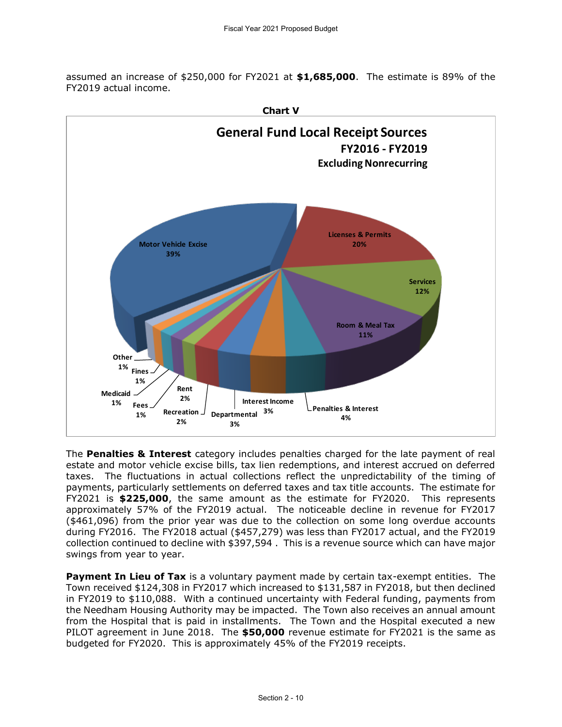assumed an increase of \$250,000 for FY2021 at **\$1,685,000**. The estimate is 89% of the FY2019 actual income.



The **Penalties & Interest** category includes penalties charged for the late payment of real estate and motor vehicle excise bills, tax lien redemptions, and interest accrued on deferred taxes. The fluctuations in actual collections reflect the unpredictability of the timing of payments, particularly settlements on deferred taxes and tax title accounts. The estimate for FY2021 is **\$225,000**, the same amount as the estimate for FY2020. This represents approximately 57% of the FY2019 actual. The noticeable decline in revenue for FY2017 (\$461,096) from the prior year was due to the collection on some long overdue accounts during FY2016. The FY2018 actual (\$457,279) was less than FY2017 actual, and the FY2019 collection continued to decline with \$397,594 . This is a revenue source which can have major swings from year to year.

**Payment In Lieu of Tax** is a voluntary payment made by certain tax-exempt entities. The Town received \$124,308 in FY2017 which increased to \$131,587 in FY2018, but then declined in FY2019 to \$110,088. With a continued uncertainty with Federal funding, payments from the Needham Housing Authority may be impacted. The Town also receives an annual amount from the Hospital that is paid in installments. The Town and the Hospital executed a new PILOT agreement in June 2018. The **\$50,000** revenue estimate for FY2021 is the same as budgeted for FY2020. This is approximately 45% of the FY2019 receipts.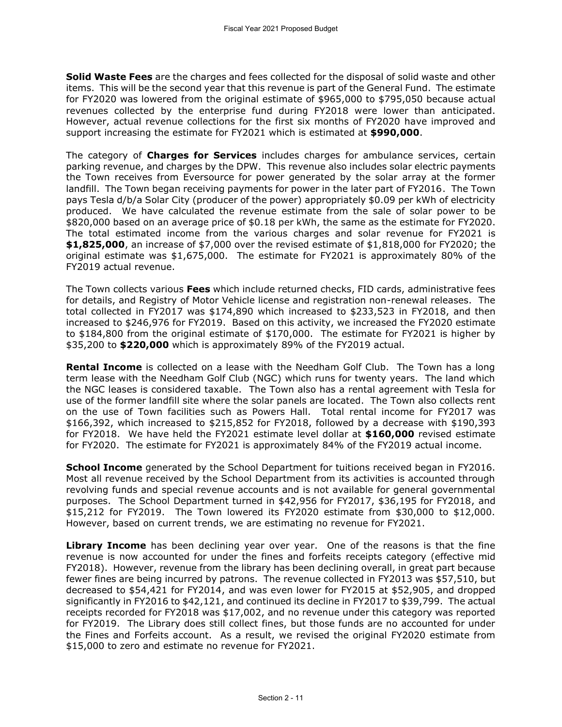**Solid Waste Fees** are the charges and fees collected for the disposal of solid waste and other items. This will be the second year that this revenue is part of the General Fund. The estimate for FY2020 was lowered from the original estimate of \$965,000 to \$795,050 because actual revenues collected by the enterprise fund during FY2018 were lower than anticipated. However, actual revenue collections for the first six months of FY2020 have improved and support increasing the estimate for FY2021 which is estimated at **\$990,000**.

The category of **Charges for Services** includes charges for ambulance services, certain parking revenue, and charges by the DPW. This revenue also includes solar electric payments the Town receives from Eversource for power generated by the solar array at the former landfill. The Town began receiving payments for power in the later part of FY2016. The Town pays Tesla d/b/a Solar City (producer of the power) appropriately \$0.09 per kWh of electricity produced. We have calculated the revenue estimate from the sale of solar power to be \$820,000 based on an average price of \$0.18 per kWh, the same as the estimate for FY2020. The total estimated income from the various charges and solar revenue for FY2021 is **\$1,825,000**, an increase of \$7,000 over the revised estimate of \$1,818,000 for FY2020; the original estimate was \$1,675,000. The estimate for FY2021 is approximately 80% of the FY2019 actual revenue.

The Town collects various **Fees** which include returned checks, FID cards, administrative fees for details, and Registry of Motor Vehicle license and registration non-renewal releases. The total collected in FY2017 was \$174,890 which increased to \$233,523 in FY2018, and then increased to \$246,976 for FY2019. Based on this activity, we increased the FY2020 estimate to \$184,800 from the original estimate of \$170,000. The estimate for FY2021 is higher by \$35,200 to **\$220,000** which is approximately 89% of the FY2019 actual.

**Rental Income** is collected on a lease with the Needham Golf Club. The Town has a long term lease with the Needham Golf Club (NGC) which runs for twenty years. The land which the NGC leases is considered taxable. The Town also has a rental agreement with Tesla for use of the former landfill site where the solar panels are located. The Town also collects rent on the use of Town facilities such as Powers Hall. Total rental income for FY2017 was \$166,392, which increased to \$215,852 for FY2018, followed by a decrease with \$190,393 for FY2018. We have held the FY2021 estimate level dollar at **\$160,000** revised estimate for FY2020. The estimate for FY2021 is approximately 84% of the FY2019 actual income.

**School Income** generated by the School Department for tuitions received began in FY2016. Most all revenue received by the School Department from its activities is accounted through revolving funds and special revenue accounts and is not available for general governmental purposes. The School Department turned in \$42,956 for FY2017, \$36,195 for FY2018, and \$15,212 for FY2019. The Town lowered its FY2020 estimate from \$30,000 to \$12,000. However, based on current trends, we are estimating no revenue for FY2021.

**Library Income** has been declining year over year. One of the reasons is that the fine revenue is now accounted for under the fines and forfeits receipts category (effective mid FY2018). However, revenue from the library has been declining overall, in great part because fewer fines are being incurred by patrons. The revenue collected in FY2013 was \$57,510, but decreased to \$54,421 for FY2014, and was even lower for FY2015 at \$52,905, and dropped significantly in FY2016 to \$42,121, and continued its decline in FY2017 to \$39,799. The actual receipts recorded for FY2018 was \$17,002, and no revenue under this category was reported for FY2019. The Library does still collect fines, but those funds are no accounted for under the Fines and Forfeits account. As a result, we revised the original FY2020 estimate from \$15,000 to zero and estimate no revenue for FY2021.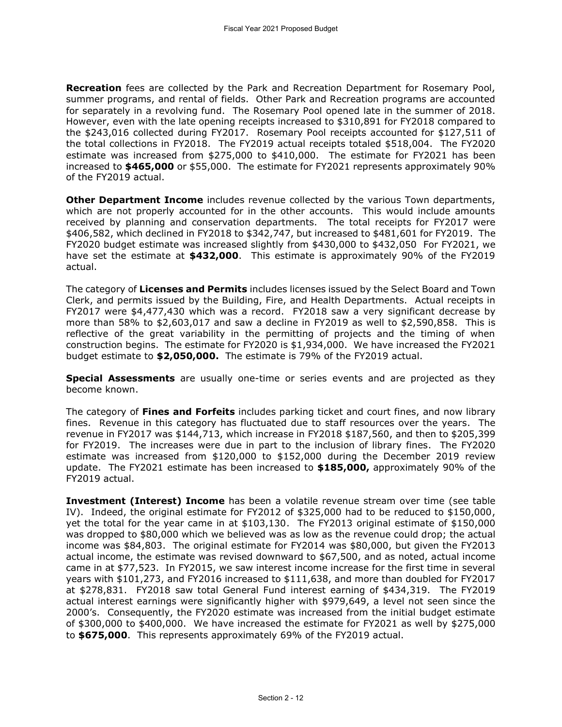**Recreation** fees are collected by the Park and Recreation Department for Rosemary Pool, summer programs, and rental of fields. Other Park and Recreation programs are accounted for separately in a revolving fund. The Rosemary Pool opened late in the summer of 2018. However, even with the late opening receipts increased to \$310,891 for FY2018 compared to the \$243,016 collected during FY2017. Rosemary Pool receipts accounted for \$127,511 of the total collections in FY2018. The FY2019 actual receipts totaled \$518,004. The FY2020 estimate was increased from \$275,000 to \$410,000. The estimate for FY2021 has been increased to **\$465,000** or \$55,000. The estimate for FY2021 represents approximately 90% of the FY2019 actual.

**Other Department Income** includes revenue collected by the various Town departments, which are not properly accounted for in the other accounts. This would include amounts received by planning and conservation departments. The total receipts for FY2017 were \$406,582, which declined in FY2018 to \$342,747, but increased to \$481,601 for FY2019. The FY2020 budget estimate was increased slightly from \$430,000 to \$432,050 For FY2021, we have set the estimate at **\$432,000**. This estimate is approximately 90% of the FY2019 actual.

The category of **Licenses and Permits** includes licenses issued by the Select Board and Town Clerk, and permits issued by the Building, Fire, and Health Departments. Actual receipts in FY2017 were \$4,477,430 which was a record. FY2018 saw a very significant decrease by more than 58% to  $$2,603,017$  and saw a decline in FY2019 as well to  $$2,590,858$ . This is reflective of the great variability in the permitting of projects and the timing of when construction begins. The estimate for FY2020 is \$1,934,000. We have increased the FY2021 budget estimate to **\$2,050,000.** The estimate is 79% of the FY2019 actual.

**Special Assessments** are usually one-time or series events and are projected as they become known.

The category of **Fines and Forfeits** includes parking ticket and court fines, and now library fines. Revenue in this category has fluctuated due to staff resources over the years. The revenue in FY2017 was \$144,713, which increase in FY2018 \$187,560, and then to \$205,399 for FY2019. The increases were due in part to the inclusion of library fines. The FY2020 estimate was increased from \$120,000 to \$152,000 during the December 2019 review update. The FY2021 estimate has been increased to **\$185,000,** approximately 90% of the FY2019 actual.

**Investment (Interest) Income** has been a volatile revenue stream over time (see table IV). Indeed, the original estimate for FY2012 of \$325,000 had to be reduced to \$150,000, yet the total for the year came in at \$103,130. The FY2013 original estimate of \$150,000 was dropped to \$80,000 which we believed was as low as the revenue could drop; the actual income was \$84,803. The original estimate for FY2014 was \$80,000, but given the FY2013 actual income, the estimate was revised downward to \$67,500, and as noted, actual income came in at \$77,523. In FY2015, we saw interest income increase for the first time in several years with \$101,273, and FY2016 increased to \$111,638, and more than doubled for FY2017 at \$278,831. FY2018 saw total General Fund interest earning of \$434,319. The FY2019 actual interest earnings were significantly higher with \$979,649, a level not seen since the 2000's. Consequently, the FY2020 estimate was increased from the initial budget estimate of \$300,000 to \$400,000. We have increased the estimate for FY2021 as well by \$275,000 to **\$675,000**. This represents approximately 69% of the FY2019 actual.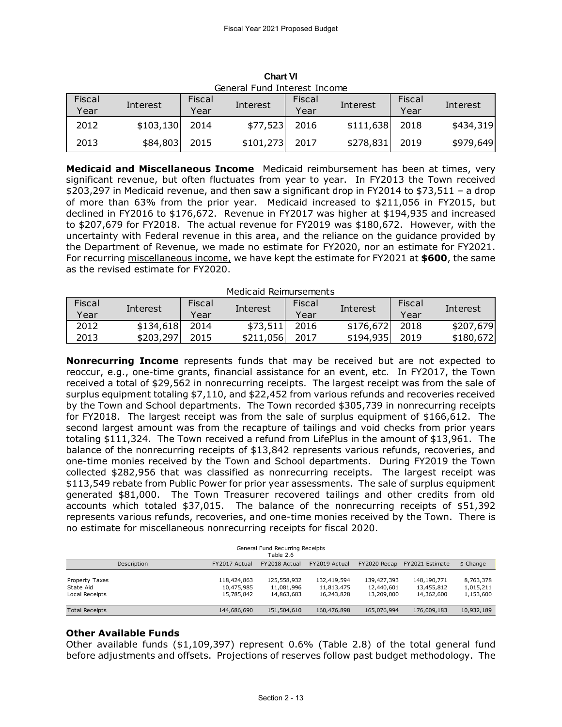|        | General Fund Interest Income |        |                 |        |           |        |           |  |  |  |  |
|--------|------------------------------|--------|-----------------|--------|-----------|--------|-----------|--|--|--|--|
| Fiscal |                              | Fiscal |                 | Fiscal | Interest  | Fiscal | Interest  |  |  |  |  |
| Year   | Interest<br>Interest<br>Year |        | Year            |        | Year      |        |           |  |  |  |  |
| 2012   | \$103,130                    | 2014   | \$77,523        | 2016   | \$111,638 | 2018   | \$434,319 |  |  |  |  |
| 2013   | \$84,803                     | 2015   | $$101,273$ 2017 |        | \$278,831 | 2019   | \$979,649 |  |  |  |  |

**Chart VI** General Fund Interest Income

**Medicaid and Miscellaneous Income** Medicaid reimbursement has been at times, very significant revenue, but often fluctuates from year to year. In FY2013 the Town received \$203,297 in Medicaid revenue, and then saw a significant drop in FY2014 to \$73,511 – a drop of more than 63% from the prior year. Medicaid increased to \$211,056 in FY2015, but declined in FY2016 to \$176,672. Revenue in FY2017 was higher at \$194,935 and increased to \$207,679 for FY2018. The actual revenue for FY2019 was \$180,672. However, with the uncertainty with Federal revenue in this area, and the reliance on the guidance provided by the Department of Revenue, we made no estimate for FY2020, nor an estimate for FY2021. For recurring miscellaneous income, we have kept the estimate for FY2021 at **\$600**, the same as the revised estimate for FY2020.

Medicaid Reimursements

| Fiscal | Interest  | Fiscal | Fiscal<br>Interest<br>Interest |      | Fiscal    | Interest |           |
|--------|-----------|--------|--------------------------------|------|-----------|----------|-----------|
| Year   |           | Year   |                                | Year |           | Year     |           |
| 2012   | \$134,618 | 2014   | \$73,511                       | 2016 | \$176,672 | 2018     | \$207,679 |
| 2013   | \$203,297 | 2015   | \$211,056                      | 2017 | \$194,935 | 2019     | \$180,672 |

**Nonrecurring Income** represents funds that may be received but are not expected to reoccur, e.g., one-time grants, financial assistance for an event, etc. In FY2017, the Town received a total of \$29,562 in nonrecurring receipts. The largest receipt was from the sale of surplus equipment totaling \$7,110, and \$22,452 from various refunds and recoveries received by the Town and School departments. The Town recorded \$305,739 in nonrecurring receipts for FY2018. The largest receipt was from the sale of surplus equipment of \$166,612. The second largest amount was from the recapture of tailings and void checks from prior years totaling \$111,324. The Town received a refund from LifePlus in the amount of \$13,961. The balance of the nonrecurring receipts of \$13,842 represents various refunds, recoveries, and one-time monies received by the Town and School departments. During FY2019 the Town collected \$282,956 that was classified as nonrecurring receipts. The largest receipt was \$113,549 rebate from Public Power for prior year assessments. The sale of surplus equipment generated \$81,000. The Town Treasurer recovered tailings and other credits from old accounts which totaled \$37,015. The balance of the nonrecurring receipts of \$51,392 represents various refunds, recoveries, and one-time monies received by the Town. There is

| represents various returnus, recoveries, and one-time momes received by the Town. There is<br>no estimate for miscellaneous nonrecurring receipts for fiscal 2020. |                                         |                                         |                                         |                                         |                                     |  |  |  |  |  |
|--------------------------------------------------------------------------------------------------------------------------------------------------------------------|-----------------------------------------|-----------------------------------------|-----------------------------------------|-----------------------------------------|-------------------------------------|--|--|--|--|--|
|                                                                                                                                                                    | Table 2.6                               |                                         |                                         |                                         |                                     |  |  |  |  |  |
| FY2017 Actual                                                                                                                                                      | FY2018 Actual                           | FY2019 Actual                           | FY2020 Recap                            | FY2021 Estimate                         | \$ Change                           |  |  |  |  |  |
| 118,424,863<br>10,475,985<br>15,785,842                                                                                                                            | 125,558,932<br>11,081,996<br>14,863,683 | 132,419,594<br>11,813,475<br>16,243,828 | 139,427,393<br>12,440,601<br>13,209,000 | 148,190,771<br>13,455,812<br>14,362,600 | 8,763,378<br>1,015,211<br>1,153,600 |  |  |  |  |  |
| 144,686,690                                                                                                                                                        | 151,504,610                             | 160,476,898                             | 165,076,994                             | 176,009,183                             | 10,932,189                          |  |  |  |  |  |
|                                                                                                                                                                    |                                         |                                         | General Fund Recurring Receipts         |                                         |                                     |  |  |  |  |  |

# **Other Available Funds**

Other available funds  $($1,109,397)$  represent 0.6% (Table 2.8) of the total general fund before adjustments and offsets. Projections of reserves follow past budget methodology. The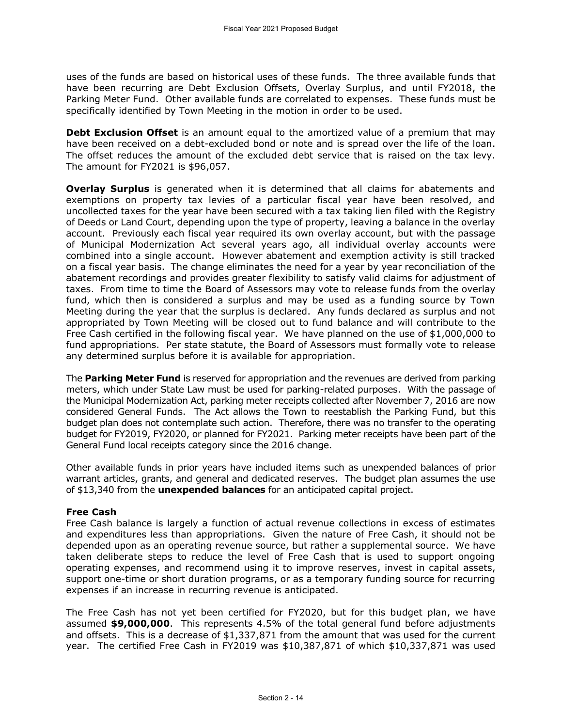uses of the funds are based on historical uses of these funds. The three available funds that have been recurring are Debt Exclusion Offsets, Overlay Surplus, and until FY2018, the Parking Meter Fund. Other available funds are correlated to expenses. These funds must be specifically identified by Town Meeting in the motion in order to be used.

**Debt Exclusion Offset** is an amount equal to the amortized value of a premium that may have been received on a debt-excluded bond or note and is spread over the life of the loan. The offset reduces the amount of the excluded debt service that is raised on the tax levy. The amount for FY2021 is \$96,057.

**Overlay Surplus** is generated when it is determined that all claims for abatements and exemptions on property tax levies of a particular fiscal year have been resolved, and uncollected taxes for the year have been secured with a tax taking lien filed with the Registry of Deeds or Land Court, depending upon the type of property, leaving a balance in the overlay account. Previously each fiscal year required its own overlay account, but with the passage of Municipal Modernization Act several years ago, all individual overlay accounts were combined into a single account. However abatement and exemption activity is still tracked on a fiscal year basis. The change eliminates the need for a year by year reconciliation of the abatement recordings and provides greater flexibility to satisfy valid claims for adjustment of taxes. From time to time the Board of Assessors may vote to release funds from the overlay fund, which then is considered a surplus and may be used as a funding source by Town Meeting during the year that the surplus is declared. Any funds declared as surplus and not appropriated by Town Meeting will be closed out to fund balance and will contribute to the Free Cash certified in the following fiscal year. We have planned on the use of \$1,000,000 to fund appropriations. Per state statute, the Board of Assessors must formally vote to release any determined surplus before it is available for appropriation.

The **Parking Meter Fund** is reserved for appropriation and the revenues are derived from parking meters, which under State Law must be used for parking-related purposes. With the passage of the Municipal Modernization Act, parking meter receipts collected after November 7, 2016 are now considered General Funds. The Act allows the Town to reestablish the Parking Fund, but this budget plan does not contemplate such action. Therefore, there was no transfer to the operating budget for FY2019, FY2020, or planned for FY2021. Parking meter receipts have been part of the General Fund local receipts category since the 2016 change.

Other available funds in prior years have included items such as unexpended balances of prior warrant articles, grants, and general and dedicated reserves. The budget plan assumes the use of \$13,340 from the **unexpended balances** for an anticipated capital project.

## **Free Cash**

Free Cash balance is largely a function of actual revenue collections in excess of estimates and expenditures less than appropriations. Given the nature of Free Cash, it should not be depended upon as an operating revenue source, but rather a supplemental source. We have taken deliberate steps to reduce the level of Free Cash that is used to support ongoing operating expenses, and recommend using it to improve reserves, invest in capital assets, support one-time or short duration programs, or as a temporary funding source for recurring expenses if an increase in recurring revenue is anticipated.

The Free Cash has not yet been certified for FY2020, but for this budget plan, we have assumed **\$9,000,000**. This represents 4.5% of the total general fund before adjustments and offsets. This is a decrease of \$1,337,871 from the amount that was used for the current year. The certified Free Cash in FY2019 was \$10,387,871 of which \$10,337,871 was used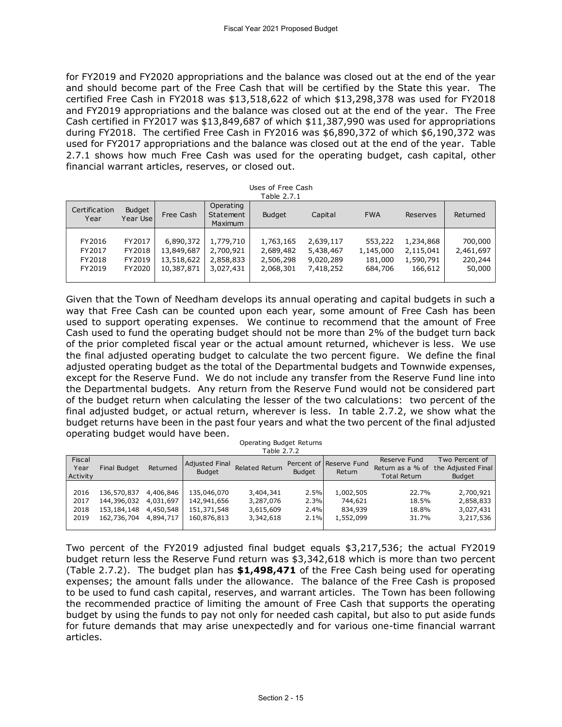for FY2019 and FY2020 appropriations and the balance was closed out at the end of the year and should become part of the Free Cash that will be certified by the State this year. The certified Free Cash in FY2018 was \$13,518,622 of which \$13,298,378 was used for FY2018 and FY2019 appropriations and the balance was closed out at the end of the year. The Free Cash certified in FY2017 was \$13,849,687 of which \$11,387,990 was used for appropriations during FY2018. The certified Free Cash in FY2016 was \$6,890,372 of which \$6,190,372 was used for FY2017 appropriations and the balance was closed out at the end of the year. Table 2.7.1 shows how much Free Cash was used for the operating budget, cash capital, other financial warrant articles, reserves, or closed out.

Uses of Free Cash Table 2.7.1

| Certification<br>Year | <b>Budget</b><br>Year Use | Free Cash  | Operating<br>Statement<br><b>Maximum</b> | <b>Budget</b> | Capital   | <b>FWA</b> | Reserves  | Returned  |
|-----------------------|---------------------------|------------|------------------------------------------|---------------|-----------|------------|-----------|-----------|
| FY2016                | FY2017                    | 6,890,372  | 1,779,710                                | 1,763,165     | 2,639,117 | 553,222    | 1,234,868 | 700,000   |
| FY2017                | FY2018                    | 13,849,687 | 2,700,921                                | 2,689,482     | 5,438,467 | 1,145,000  | 2,115,041 | 2,461,697 |
| FY2018                | FY2019                    | 13,518,622 | 2,858,833                                | 2,506,298     | 9,020,289 | 181,000    | 1,590,791 | 220,244   |
| FY2019                | FY2020                    | 10,387,871 | 3,027,431                                | 2,068,301     | 7,418,252 | 684,706    | 166,612   | 50,000    |

Given that the Town of Needham develops its annual operating and capital budgets in such a way that Free Cash can be counted upon each year, some amount of Free Cash has been used to support operating expenses. We continue to recommend that the amount of Free Cash used to fund the operating budget should not be more than 2% of the budget turn back of the prior completed fiscal year or the actual amount returned, whichever is less. We use the final adjusted operating budget to calculate the two percent figure. We define the final adjusted operating budget as the total of the Departmental budgets and Townwide expenses, except for the Reserve Fund. We do not include any transfer from the Reserve Fund line into the Departmental budgets. Any return from the Reserve Fund would not be considered part of the budget return when calculating the lesser of the two calculations: two percent of the final adjusted budget, or actual return, wherever is less. In table 2.7.2, we show what the budget returns have been in the past four years and what the two percent of the final adjusted operating budget would have been.

Operating Budget Returns  $T$ able  $2.7.2$ 

|                            | Table 2.7.2         |           |                                        |                       |        |                                   |                                                         |                                                       |  |  |  |  |
|----------------------------|---------------------|-----------|----------------------------------------|-----------------------|--------|-----------------------------------|---------------------------------------------------------|-------------------------------------------------------|--|--|--|--|
| Fiscal<br>Year<br>Activity | <b>Final Budget</b> | Returned  | <b>Adjusted Final</b><br><b>Budget</b> | <b>Related Return</b> | Budget | Percent of Reserve Fund<br>Return | Reserve Fund<br>Return as a % of<br><b>Total Return</b> | Two Percent of<br>the Adjusted Final<br><b>Budget</b> |  |  |  |  |
|                            |                     |           |                                        |                       |        |                                   |                                                         |                                                       |  |  |  |  |
| 2016                       | 136,570,837         | 4,406,846 | 135,046,070                            | 3,404,341             | 2.5%   | 1,002,505                         | 22.7%                                                   | 2,700,921                                             |  |  |  |  |
| 2017                       | 144,396,032         | 4,031,697 | 142,941,656                            | 3,287,076             | 2.3%   | 744,621                           | 18.5%                                                   | 2,858,833                                             |  |  |  |  |
| 2018                       | 153,184,148         | 4,450,548 | 151,371,548                            | 3,615,609             | 2.4%   | 834,939                           | 18.8%                                                   | 3,027,431                                             |  |  |  |  |
| 2019                       | 162,736,704         | 4,894,717 | 160,876,813                            | 3,342,618             | 2.1%   | 1,552,099                         | 31.7%                                                   | 3,217,536                                             |  |  |  |  |
|                            |                     |           |                                        |                       |        |                                   |                                                         |                                                       |  |  |  |  |

Two percent of the FY2019 adjusted final budget equals \$3,217,536; the actual FY2019 budget return less the Reserve Fund return was \$3,342,618 which is more than two percent (Table 2.7.2). The budget plan has **\$1,498,471** of the Free Cash being used for operating expenses; the amount falls under the allowance. The balance of the Free Cash is proposed to be used to fund cash capital, reserves, and warrant articles. The Town has been following the recommended practice of limiting the amount of Free Cash that supports the operating budget by using the funds to pay not only for needed cash capital, but also to put aside funds for future demands that may arise unexpectedly and for various one-time financial warrant articles.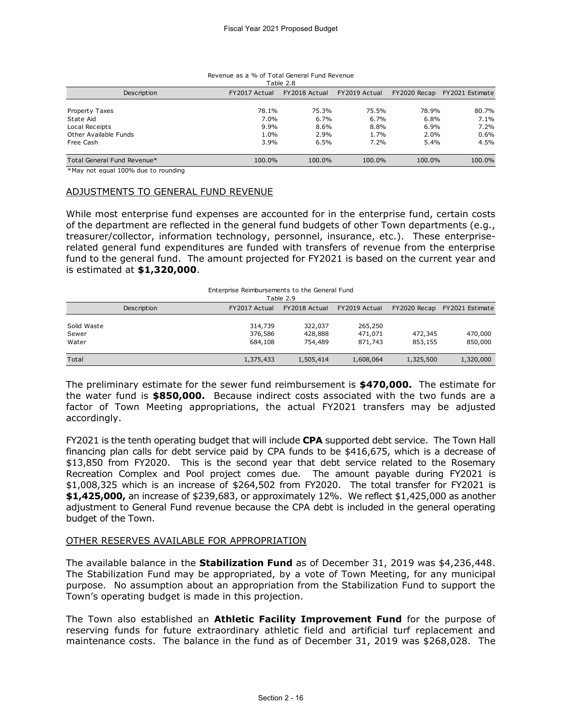| Revenue as a % of Total General Fund Revenue<br>Table 2.8 |               |               |               |              |                 |  |  |
|-----------------------------------------------------------|---------------|---------------|---------------|--------------|-----------------|--|--|
| Description                                               | FY2017 Actual | FY2018 Actual | FY2019 Actual | FY2020 Recap | FY2021 Estimate |  |  |
| Property Taxes                                            | 78.1%         | 75.3%         | 75.5%         | 78.9%        | 80.7%           |  |  |
| State Aid                                                 | $7.0\%$       | 6.7%          | 6.7%          | 6.8%         | 7.1%            |  |  |
| Local Receipts                                            | 9.9%          | 8.6%          | 8.8%          | 6.9%         | 7.2%            |  |  |
| Other Available Funds                                     | 1.0%          | 2.9%          | 1.7%          | 2.0%         | 0.6%            |  |  |
| Free Cash                                                 | 3.9%          | 6.5%          | 7.2%          | 5.4%         | 4.5%            |  |  |
| Total General Fund Revenue*                               | 100.0%        | 100.0%        | 100.0%        | 100.0%       | 100.0%          |  |  |

#### Revenue as a % of Total General Fund Revenue Table 2.8

\*May not equal 100% due to rounding

## ADJUSTMENTS TO GENERAL FUND REVENUE

While most enterprise fund expenses are accounted for in the enterprise fund, certain costs of the department are reflected in the general fund budgets of other Town departments (e.g., treasurer/collector, information technology, personnel, insurance, etc.). These enterpriserelated general fund expenditures are funded with transfers of revenue from the enterprise fund to the general fund. The amount projected for FY2021 is based on the current year and is estimated at **\$1,320,000**.

| is estimated at \$1,320,000.  |                                               |                               |                               |                    |                              |
|-------------------------------|-----------------------------------------------|-------------------------------|-------------------------------|--------------------|------------------------------|
|                               | Enterprise Reimbursements to the General Fund | Table 2.9                     |                               |                    |                              |
| Description                   | FY2017 Actual                                 | FY2018 Actual                 | FY2019 Actual                 |                    | FY2020 Recap FY2021 Estimate |
| Solid Waste<br>Sewer<br>Water | 314,739<br>376,586<br>684,108                 | 322,037<br>428,888<br>754,489 | 265,250<br>471.071<br>871,743 | 472,345<br>853,155 | 470,000<br>850,000           |
| Total                         | 1,375,433                                     | 1,505,414                     | 1,608,064                     | 1,325,500          | 1,320,000                    |

The preliminary estimate for the sewer fund reimbursement is **\$470,000.** The estimate for the water fund is **\$850,000.** Because indirect costs associated with the two funds are a factor of Town Meeting appropriations, the actual FY2021 transfers may be adjusted accordingly.

FY2021 is the tenth operating budget that will include **CPA** supported debt service. The Town Hall financing plan calls for debt service paid by CPA funds to be \$416,675, which is a decrease of \$13,850 from FY2020. This is the second year that debt service related to the Rosemary Recreation Complex and Pool project comes due. The amount payable during FY2021 is \$1,008,325 which is an increase of \$264,502 from FY2020. The total transfer for FY2021 is **\$1,425,000,** an increase of \$239,683, or approximately 12%. We reflect \$1,425,000 as another adjustment to General Fund revenue because the CPA debt is included in the general operating budget of the Town.

## OTHER RESERVES AVAILABLE FOR APPROPRIATION

The available balance in the **Stabilization Fund** as of December 31, 2019 was \$4,236,448. The Stabilization Fund may be appropriated, by a vote of Town Meeting, for any municipal purpose. No assumption about an appropriation from the Stabilization Fund to support the Town's operating budget is made in this projection.

The Town also established an **Athletic Facility Improvement Fund** for the purpose of reserving funds for future extraordinary athletic field and artificial turf replacement and maintenance costs. The balance in the fund as of December 31, 2019 was \$268,028. The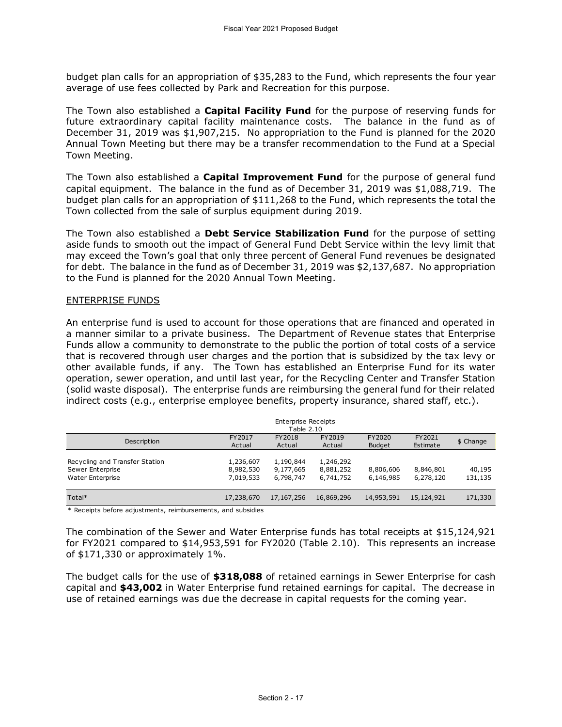budget plan calls for an appropriation of \$35,283 to the Fund, which represents the four year average of use fees collected by Park and Recreation for this purpose.

The Town also established a **Capital Facility Fund** for the purpose of reserving funds for future extraordinary capital facility maintenance costs. The balance in the fund as of December 31, 2019 was \$1,907,215. No appropriation to the Fund is planned for the 2020 Annual Town Meeting but there may be a transfer recommendation to the Fund at a Special Town Meeting.

The Town also established a **Capital Improvement Fund** for the purpose of general fund capital equipment. The balance in the fund as of December 31, 2019 was \$1,088,719. The budget plan calls for an appropriation of \$111,268 to the Fund, which represents the total the Town collected from the sale of surplus equipment during 2019.

The Town also established a **Debt Service Stabilization Fund** for the purpose of setting aside funds to smooth out the impact of General Fund Debt Service within the levy limit that may exceed the Town's goal that only three percent of General Fund revenues be designated for debt. The balance in the fund as of December 31, 2019 was \$2,137,687. No appropriation to the Fund is planned for the 2020 Annual Town Meeting.

## ENTERPRISE FUNDS

An enterprise fund is used to account for those operations that are financed and operated in a manner similar to a private business. The Department of Revenue states that Enterprise Funds allow a community to demonstrate to the public the portion of total costs of a service that is recovered through user charges and the portion that is subsidized by the tax levy or other available funds, if any. The Town has established an Enterprise Fund for its water operation, sewer operation, and until last year, for the Recycling Center and Transfer Station (solid waste disposal). The enterprise funds are reimbursing the general fund for their related indirect costs (e.g., enterprise employee benefits, property insurance, shared staff, etc.).

| <b>Enterprise Receipts</b><br>Table 2.10                               |                                     |                                     |                                     |                         |                        |                   |
|------------------------------------------------------------------------|-------------------------------------|-------------------------------------|-------------------------------------|-------------------------|------------------------|-------------------|
| Description                                                            | FY2017<br>Actual                    | FY2018<br>Actual                    | FY2019<br>Actual                    | FY2020<br><b>Budget</b> | FY2021<br>Estimate     | \$ Change         |
| Recycling and Transfer Station<br>Sewer Enterprise<br>Water Enterprise | 1,236,607<br>8,982,530<br>7,019,533 | 1,190,844<br>9,177,665<br>6,798,747 | 1,246,292<br>8,881,252<br>6,741,752 | 8,806,606<br>6,146,985  | 8,846,801<br>6,278,120 | 40,195<br>131,135 |
| Total*                                                                 | 17,238,670                          | 17, 167, 256                        | 16,869,296                          | 14,953,591              | 15,124,921             | 171,330           |

Receipts before adjustments, reimbursements, and subsidies

The combination of the Sewer and Water Enterprise funds has total receipts at \$15,124,921 for FY2021 compared to \$14,953,591 for FY2020 (Table 2.10). This represents an increase of \$171,330 or approximately 1%.

The budget calls for the use of **\$318,088** of retained earnings in Sewer Enterprise for cash capital and **\$43,002** in Water Enterprise fund retained earnings for capital. The decrease in use of retained earnings was due the decrease in capital requests for the coming year.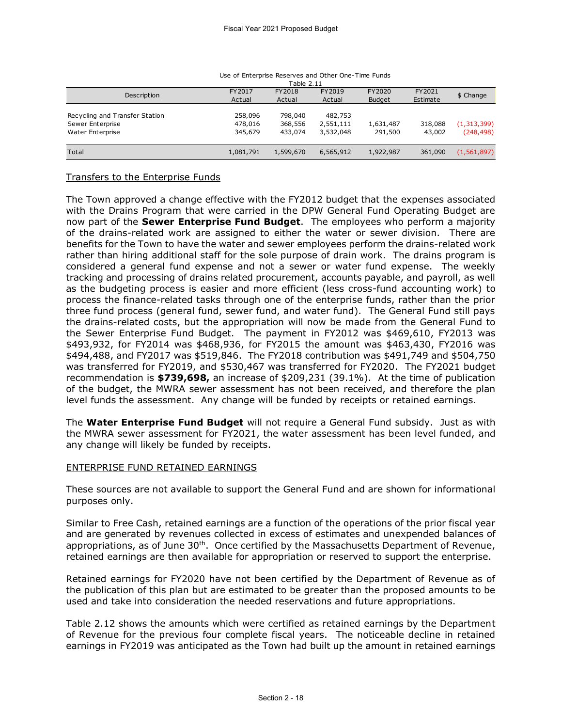|                                                                        | Use of Enterprise Reserves and Other One-Time Funds<br>Table 2.11 |                               |                                   |                         |                    |                           |
|------------------------------------------------------------------------|-------------------------------------------------------------------|-------------------------------|-----------------------------------|-------------------------|--------------------|---------------------------|
| Description                                                            | FY2017<br>Actual                                                  | FY2018<br>Actual              | FY2019<br>Actual                  | FY2020<br><b>Budget</b> | FY2021<br>Estimate | \$ Change                 |
| Recycling and Transfer Station<br>Sewer Enterprise<br>Water Enterprise | 258,096<br>478,016<br>345,679                                     | 798,040<br>368,556<br>433,074 | 482,753<br>2,551,111<br>3,532,048 | 1,631,487<br>291,500    | 318,088<br>43,002  | (1,313,399)<br>(248, 498) |
| Total                                                                  | 1,081,791                                                         | 1,599,670                     | 6,565,912                         | 1,922,987               | 361,090            | (1, 561, 897)             |

### Use of Enterprise Reserves and Other One-Time Funds

# Transfers to the Enterprise Funds

The Town approved a change effective with the FY2012 budget that the expenses associated with the Drains Program that were carried in the DPW General Fund Operating Budget are now part of the **Sewer Enterprise Fund Budget**. The employees who perform a majority of the drains-related work are assigned to either the water or sewer division. There are benefits for the Town to have the water and sewer employees perform the drains-related work rather than hiring additional staff for the sole purpose of drain work. The drains program is considered a general fund expense and not a sewer or water fund expense. The weekly tracking and processing of drains related procurement, accounts payable, and payroll, as well as the budgeting process is easier and more efficient (less cross-fund accounting work) to process the finance-related tasks through one of the enterprise funds, rather than the prior three fund process (general fund, sewer fund, and water fund). The General Fund still pays the drains-related costs, but the appropriation will now be made from the General Fund to the Sewer Enterprise Fund Budget. The payment in FY2012 was \$469,610, FY2013 was \$493,932, for FY2014 was \$468,936, for FY2015 the amount was \$463,430, FY2016 was \$494,488, and FY2017 was \$519,846. The FY2018 contribution was \$491,749 and \$504,750 was transferred for FY2019, and \$530,467 was transferred for FY2020. The FY2021 budget recommendation is **\$739,698,** an increase of \$209,231 (39.1%). At the time of publication of the budget, the MWRA sewer assessment has not been received, and therefore the plan level funds the assessment. Any change will be funded by receipts or retained earnings.

The **Water Enterprise Fund Budget** will not require a General Fund subsidy. Just as with the MWRA sewer assessment for FY2021, the water assessment has been level funded, and any change will likely be funded by receipts.

## ENTERPRISE FUND RETAINED EARNINGS

These sources are not available to support the General Fund and are shown for informational purposes only.

Similar to Free Cash, retained earnings are a function of the operations of the prior fiscal year and are generated by revenues collected in excess of estimates and unexpended balances of appropriations, as of June 30<sup>th</sup>. Once certified by the Massachusetts Department of Revenue, retained earnings are then available for appropriation or reserved to support the enterprise.

Retained earnings for FY2020 have not been certified by the Department of Revenue as of the publication of this plan but are estimated to be greater than the proposed amounts to be used and take into consideration the needed reservations and future appropriations.

Table 2.12 shows the amounts which were certified as retained earnings by the Department of Revenue for the previous four complete fiscal years. The noticeable decline in retained earnings in FY2019 was anticipated as the Town had built up the amount in retained earnings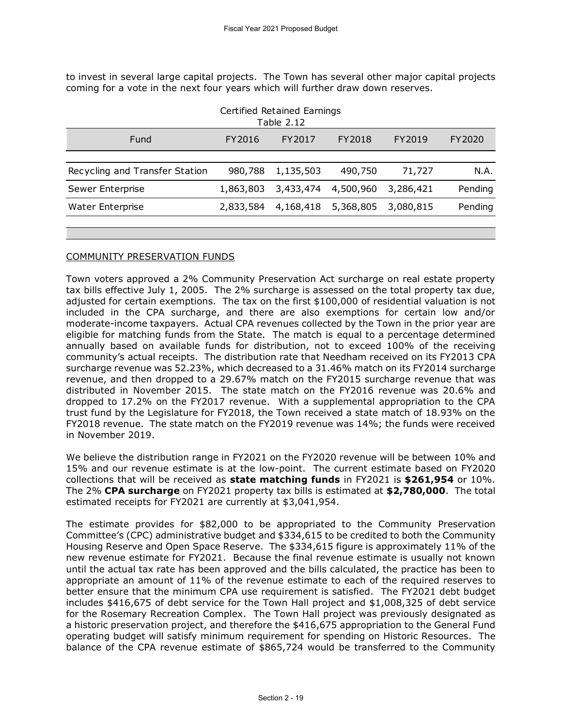to invest in several large capital projects. The Town has several other major capital projects coming for a vote in the next four years which will further draw down reserves.

| Certified Retained Earnings<br>Table 2.12 |           |           |           |           |         |  |  |
|-------------------------------------------|-----------|-----------|-----------|-----------|---------|--|--|
| Fund                                      | FY2016    | FY2017    | FY2018    | FY2019    | FY2020  |  |  |
| Recycling and Transfer Station            | 980,788   | 1,135,503 | 490,750   | 71,727    | N.A.    |  |  |
| Sewer Enterprise                          | 1,863,803 | 3,433,474 | 4,500,960 | 3,286,421 | Pending |  |  |
| <b>Water Enterprise</b>                   | 2,833,584 | 4,168,418 | 5,368,805 | 3,080,815 | Pending |  |  |
|                                           |           |           |           |           |         |  |  |

## COMMUNITY PRESERVATION FUNDS

Town voters approved a 2% Community Preservation Act surcharge on real estate property tax bills effective July 1, 2005. The 2% surcharge is assessed on the total property tax due, adjusted for certain exemptions. The tax on the first \$100,000 of residential valuation is not included in the CPA surcharge, and there are also exemptions for certain low and/or moderate-income taxpayers. Actual CPA revenues collected by the Town in the prior year are eligible for matching funds from the State. The match is equal to a percentage determined annually based on available funds for distribution, not to exceed 100% of the receiving community's actual receipts. The distribution rate that Needham received on its FY2013 CPA surcharge revenue was 52.23%, which decreased to a 31.46% match on its FY2014 surcharge revenue, and then dropped to a 29.67% match on the FY2015 surcharge revenue that was distributed in November 2015. The state match on the FY2016 revenue was 20.6% and dropped to 17.2% on the FY2017 revenue. With a supplemental appropriation to the CPA trust fund by the Legislature for FY2018, the Town received a state match of 18.93% on the FY2018 revenue. The state match on the FY2019 revenue was 14%; the funds were received in November 2019.

We believe the distribution range in FY2021 on the FY2020 revenue will be between 10% and 15% and our revenue estimate is at the low-point. The current estimate based on FY2020 collections that will be received as **state matching funds** in FY2021 is **\$261,954** or 10%. The 2% **CPA surcharge** on FY2021 property tax bills is estimated at **\$2,780,000**. The total estimated receipts for FY2021 are currently at \$3,041,954.

The estimate provides for \$82,000 to be appropriated to the Community Preservation Committee's (CPC) administrative budget and \$334,615 to be credited to both the Community Housing Reserve and Open Space Reserve. The \$334,615 figure is approximately 11% of the new revenue estimate for FY2021. Because the final revenue estimate is usually not known until the actual tax rate has been approved and the bills calculated, the practice has been to appropriate an amount of 11% of the revenue estimate to each of the required reserves to better ensure that the minimum CPA use requirement is satisfied. The FY2021 debt budget includes \$416,675 of debt service for the Town Hall project and \$1,008,325 of debt service for the Rosemary Recreation Complex. The Town Hall project was previously designated as a historic preservation project, and therefore the \$416,675 appropriation to the General Fund operating budget will satisfy minimum requirement for spending on Historic Resources. The balance of the CPA revenue estimate of \$865,724 would be transferred to the Community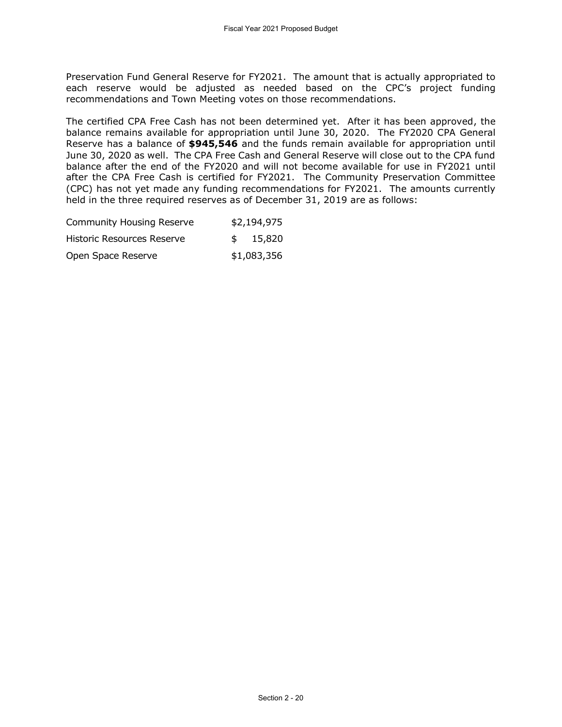Preservation Fund General Reserve for FY2021. The amount that is actually appropriated to each reserve would be adjusted as needed based on the CPC's project funding recommendations and Town Meeting votes on those recommendations.

The certified CPA Free Cash has not been determined yet. After it has been approved, the balance remains available for appropriation until June 30, 2020. The FY2020 CPA General Reserve has a balance of **\$945,546** and the funds remain available for appropriation until June 30, 2020 as well. The CPA Free Cash and General Reserve will close out to the CPA fund balance after the end of the FY2020 and will not become available for use in FY2021 until after the CPA Free Cash is certified for FY2021. The Community Preservation Committee (CPC) has not yet made any funding recommendations for FY2021. The amounts currently held in the three required reserves as of December 31, 2019 are as follows:

| <b>Community Housing Reserve</b> | \$2,194,975  |
|----------------------------------|--------------|
| Historic Resources Reserve       | \$<br>15,820 |
| Open Space Reserve               | \$1,083,356  |